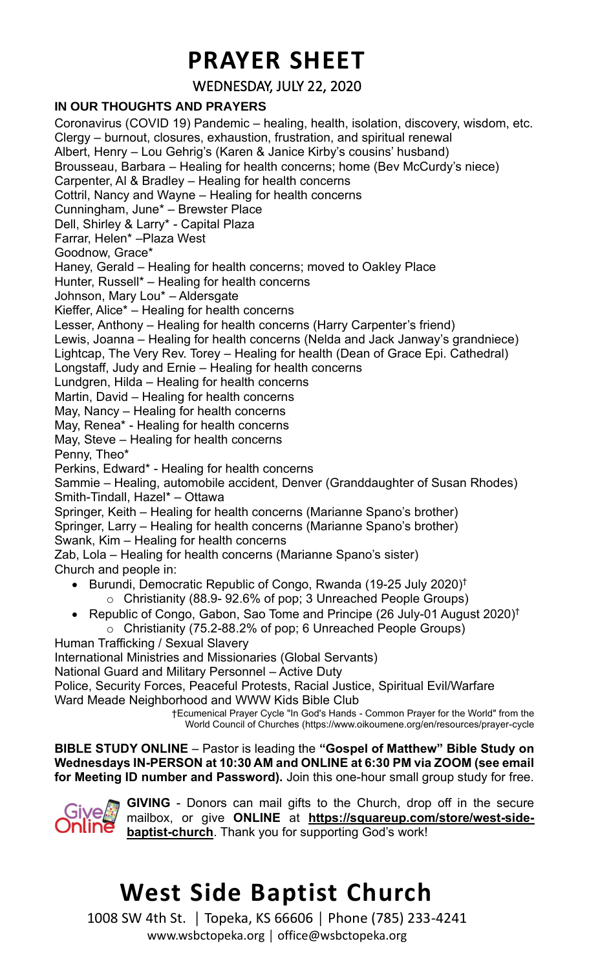## **PRAYER SHEET**

WEDNESDAY, JULY 22, 2020

### **IN OUR THOUGHTS AND PRAYERS**

Coronavirus (COVID 19) Pandemic – healing, health, isolation, discovery, wisdom, etc. Clergy – burnout, closures, exhaustion, frustration, and spiritual renewal Albert, Henry – Lou Gehrig's (Karen & Janice Kirby's cousins' husband) Brousseau, Barbara – Healing for health concerns; home (Bev McCurdy's niece) Carpenter, Al & Bradley – Healing for health concerns Cottril, Nancy and Wayne – Healing for health concerns Cunningham, June\* – Brewster Place Dell, Shirley & Larry\* - Capital Plaza Farrar, Helen\* –Plaza West Goodnow, Grace\* Haney, Gerald – Healing for health concerns; moved to Oakley Place Hunter, Russell\* – Healing for health concerns Johnson, Mary Lou\* – Aldersgate Kieffer, Alice\* – Healing for health concerns Lesser, Anthony – Healing for health concerns (Harry Carpenter's friend) Lewis, Joanna – Healing for health concerns (Nelda and Jack Janway's grandniece) Lightcap, The Very Rev. Torey – Healing for health (Dean of Grace Epi. Cathedral) Longstaff, Judy and Ernie – Healing for health concerns Lundgren, Hilda – Healing for health concerns Martin, David – Healing for health concerns May, Nancy – Healing for health concerns May, Renea\* - Healing for health concerns May, Steve – Healing for health concerns Penny, Theo\* Perkins, Edward\* - Healing for health concerns Sammie – Healing, automobile accident, Denver (Granddaughter of Susan Rhodes) Smith-Tindall, Hazel\* – Ottawa Springer, Keith – Healing for health concerns (Marianne Spano's brother) Springer, Larry – Healing for health concerns (Marianne Spano's brother) Swank, Kim – Healing for health concerns Zab, Lola – Healing for health concerns (Marianne Spano's sister) Church and people in: • Burundi, Democratic Republic of Congo, Rwanda (19-25 July 2020) † o Christianity (88.9- 92.6% of pop; 3 Unreached People Groups) • Republic of Congo, Gabon, Sao Tome and Principe (26 July-01 August 2020)<sup>†</sup> o Christianity (75.2-88.2% of pop; 6 Unreached People Groups) Human Trafficking / Sexual Slavery International Ministries and Missionaries (Global Servants) National Guard and Military Personnel – Active Duty Police, Security Forces, Peaceful Protests, Racial Justice, Spiritual Evil/Warfare Ward Meade Neighborhood and WWW Kids Bible Club †Ecumenical Prayer Cycle "In God's Hands - Common Prayer for the World" from the World Council of Churches (https://www.oikoumene.org/en/resources/prayer-cycle

**BIBLE STUDY ONLINE** – Pastor is leading the **"Gospel of Matthew" Bible Study on Wednesdays IN-PERSON at 10:30 AM and ONLINE at 6:30 PM via ZOOM (see email for Meeting ID number and Password).** Join this one-hour small group study for free.



**GIVING** - Donors can mail gifts to the Church, drop off in the secure mailbox, or give **ONLINE** at **[https://squareup.com/store/west-side](https://squareup.com/store/west-side-baptist-church)[baptist-church](https://squareup.com/store/west-side-baptist-church)**. Thank you for supporting God's work!

## **West Side Baptist Church**

1008 SW 4th St. │ Topeka, KS 66606 │ Phone (785) 233-4241 www.wsbctopeka.org │ office@wsbctopeka.org